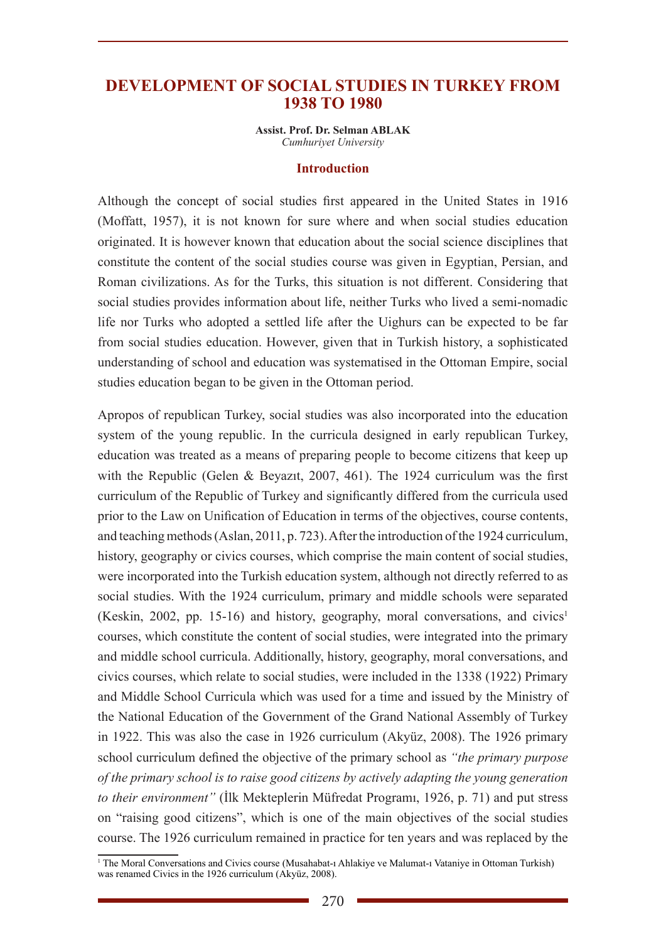# **DEVELOPMENT OF SOCIAL STUDIES IN TURKEY FROM 1938 TO 1980**

**Assist. Prof. Dr. Selman ABLAK** *Cumhuriyet University*

#### **Introduction**

Although the concept of social studies first appeared in the United States in 1916 (Moffatt, 1957), it is not known for sure where and when social studies education originated. It is however known that education about the social science disciplines that constitute the content of the social studies course was given in Egyptian, Persian, and Roman civilizations. As for the Turks, this situation is not different. Considering that social studies provides information about life, neither Turks who lived a semi-nomadic life nor Turks who adopted a settled life after the Uighurs can be expected to be far from social studies education. However, given that in Turkish history, a sophisticated understanding of school and education was systematised in the Ottoman Empire, social studies education began to be given in the Ottoman period.

Apropos of republican Turkey, social studies was also incorporated into the education system of the young republic. In the curricula designed in early republican Turkey, education was treated as a means of preparing people to become citizens that keep up with the Republic (Gelen & Beyazıt, 2007, 461). The 1924 curriculum was the first curriculum of the Republic of Turkey and significantly differed from the curricula used prior to the Law on Unification of Education in terms of the objectives, course contents, and teaching methods (Aslan, 2011, p. 723). After the introduction of the 1924 curriculum, history, geography or civics courses, which comprise the main content of social studies, were incorporated into the Turkish education system, although not directly referred to as social studies. With the 1924 curriculum, primary and middle schools were separated (Keskin, 2002, pp. 15-16) and history, geography, moral conversations, and civics<sup>1</sup> courses, which constitute the content of social studies, were integrated into the primary and middle school curricula. Additionally, history, geography, moral conversations, and civics courses, which relate to social studies, were included in the 1338 (1922) Primary and Middle School Curricula which was used for a time and issued by the Ministry of the National Education of the Government of the Grand National Assembly of Turkey in 1922. This was also the case in 1926 curriculum (Akyüz, 2008). The 1926 primary school curriculum defined the objective of the primary school as *"the primary purpose of the primary school is to raise good citizens by actively adapting the young generation to their environment"* (İlk Mekteplerin Müfredat Programı, 1926, p. 71) and put stress on "raising good citizens", which is one of the main objectives of the social studies course. The 1926 curriculum remained in practice for ten years and was replaced by the

<sup>1</sup> The Moral Conversations and Civics course (Musahabat-ı Ahlakiye ve Malumat-ı Vataniye in Ottoman Turkish) was renamed Civics in the 1926 curriculum (Akyüz, 2008).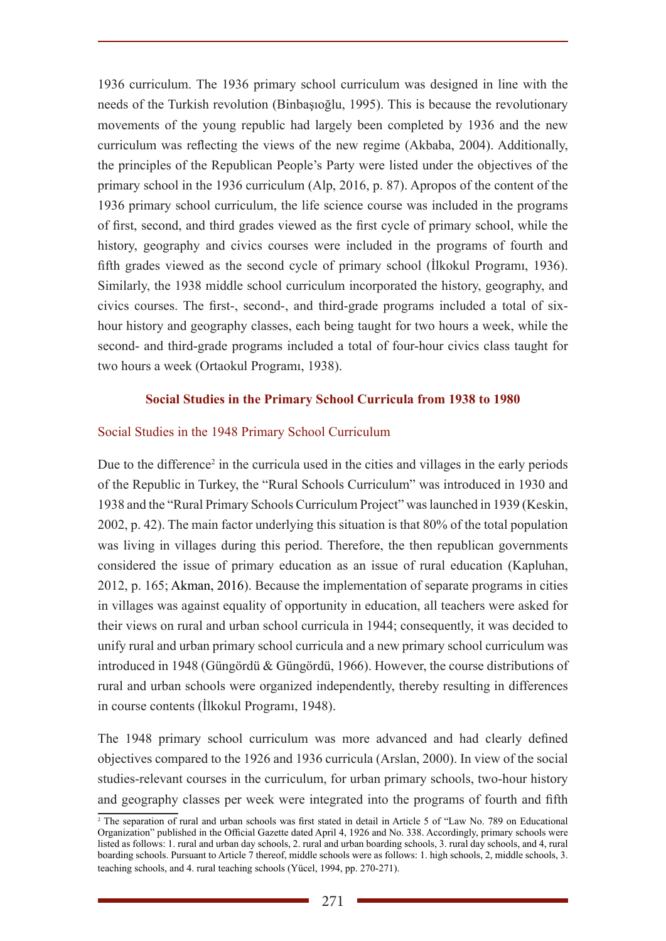1936 curriculum. The 1936 primary school curriculum was designed in line with the needs of the Turkish revolution (Binbaşıoğlu, 1995). This is because the revolutionary movements of the young republic had largely been completed by 1936 and the new curriculum was reflecting the views of the new regime (Akbaba, 2004). Additionally, the principles of the Republican People's Party were listed under the objectives of the primary school in the 1936 curriculum (Alp, 2016, p. 87). Apropos of the content of the 1936 primary school curriculum, the life science course was included in the programs of first, second, and third grades viewed as the first cycle of primary school, while the history, geography and civics courses were included in the programs of fourth and fifth grades viewed as the second cycle of primary school (İlkokul Programı, 1936). Similarly, the 1938 middle school curriculum incorporated the history, geography, and civics courses. The first-, second-, and third-grade programs included a total of sixhour history and geography classes, each being taught for two hours a week, while the second- and third-grade programs included a total of four-hour civics class taught for two hours a week (Ortaokul Programı, 1938).

# **Social Studies in the Primary School Curricula from 1938 to 1980**

### Social Studies in the 1948 Primary School Curriculum

Due to the difference<sup>2</sup> in the curricula used in the cities and villages in the early periods of the Republic in Turkey, the "Rural Schools Curriculum" was introduced in 1930 and 1938 and the "Rural Primary Schools Curriculum Project" was launched in 1939 (Keskin, 2002, p. 42). The main factor underlying this situation is that 80% of the total population was living in villages during this period. Therefore, the then republican governments considered the issue of primary education as an issue of rural education (Kapluhan, 2012, p. 165; Akman, 2016). Because the implementation of separate programs in cities in villages was against equality of opportunity in education, all teachers were asked for their views on rural and urban school curricula in 1944; consequently, it was decided to unify rural and urban primary school curricula and a new primary school curriculum was introduced in 1948 (Güngördü & Güngördü, 1966). However, the course distributions of rural and urban schools were organized independently, thereby resulting in differences in course contents (İlkokul Programı, 1948).

The 1948 primary school curriculum was more advanced and had clearly defined objectives compared to the 1926 and 1936 curricula (Arslan, 2000). In view of the social studies-relevant courses in the curriculum, for urban primary schools, two-hour history and geography classes per week were integrated into the programs of fourth and fifth

<sup>2</sup> The separation of rural and urban schools was first stated in detail in Article 5 of "Law No. 789 on Educational Organization" published in the Official Gazette dated April 4, 1926 and No. 338. Accordingly, primary schools were listed as follows: 1. rural and urban day schools, 2. rural and urban boarding schools, 3. rural day schools, and 4, rural boarding schools. Pursuant to Article  $\tilde{7}$  thereof, middle schools were as follows: 1. high schools, 2, middle schools, 3. teaching schools, and 4. rural teaching schools (Yücel, 1994, pp. 270-271).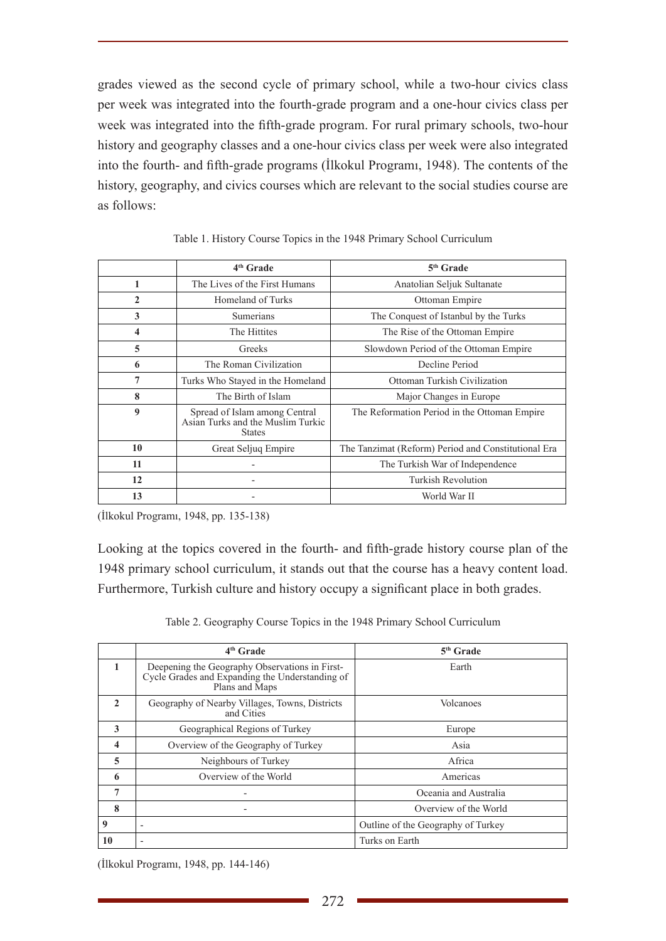grades viewed as the second cycle of primary school, while a two-hour civics class per week was integrated into the fourth-grade program and a one-hour civics class per week was integrated into the fifth-grade program. For rural primary schools, two-hour history and geography classes and a one-hour civics class per week were also integrated into the fourth- and fifth-grade programs (İlkokul Programı, 1948). The contents of the history, geography, and civics courses which are relevant to the social studies course are as follows:

|                | 4 <sup>th</sup> Grade                                                               | $5th$ Grade                                         |  |  |
|----------------|-------------------------------------------------------------------------------------|-----------------------------------------------------|--|--|
| 1              | The Lives of the First Humans                                                       | Anatolian Seljuk Sultanate                          |  |  |
| $\overline{2}$ | Homeland of Turks                                                                   | Ottoman Empire                                      |  |  |
| 3              | Sumerians                                                                           | The Conquest of Istanbul by the Turks               |  |  |
| 4              | The Hittites                                                                        | The Rise of the Ottoman Empire                      |  |  |
| 5              | Greeks                                                                              | Slowdown Period of the Ottoman Empire               |  |  |
| 6              | The Roman Civilization                                                              | Decline Period                                      |  |  |
| 7              | Turks Who Stayed in the Homeland                                                    | Ottoman Turkish Civilization                        |  |  |
| 8              | The Birth of Islam                                                                  | Major Changes in Europe                             |  |  |
| 9              | Spread of Islam among Central<br>Asian Turks and the Muslim Turkic<br><b>States</b> | The Reformation Period in the Ottoman Empire        |  |  |
| 10             | Great Seljuq Empire                                                                 | The Tanzimat (Reform) Period and Constitutional Era |  |  |
| 11             |                                                                                     | The Turkish War of Independence                     |  |  |
| 12             |                                                                                     | <b>Turkish Revolution</b>                           |  |  |
| 13             |                                                                                     | World War II                                        |  |  |

Table 1. History Course Topics in the 1948 Primary School Curriculum

(İlkokul Programı, 1948, pp. 135-138)

Looking at the topics covered in the fourth- and fifth-grade history course plan of the 1948 primary school curriculum, it stands out that the course has a heavy content load. Furthermore, Turkish culture and history occupy a significant place in both grades.

Table 2. Geography Course Topics in the 1948 Primary School Curriculum

|                         | 4 <sup>th</sup> Grade                                                                                               | $5th$ Grade                        |
|-------------------------|---------------------------------------------------------------------------------------------------------------------|------------------------------------|
| $\mathbf{1}$            | Deepening the Geography Observations in First-<br>Cycle Grades and Expanding the Understanding of<br>Plans and Maps | Earth                              |
| $\mathcal{L}$           | Geography of Nearby Villages, Towns, Districts<br>and Cities                                                        | Volcanoes                          |
| 3                       | Geographical Regions of Turkey                                                                                      | Europe                             |
| $\overline{\mathbf{4}}$ | Overview of the Geography of Turkey                                                                                 | Asia                               |
| $\overline{5}$          | Neighbours of Turkey                                                                                                | Africa                             |
| 6                       | Overview of the World                                                                                               | Americas                           |
| 7                       |                                                                                                                     | Oceania and Australia              |
| 8                       |                                                                                                                     | Overview of the World              |
| 9                       | $\overline{a}$                                                                                                      | Outline of the Geography of Turkey |
| 10                      |                                                                                                                     | Turks on Earth                     |

(İlkokul Programı, 1948, pp. 144-146)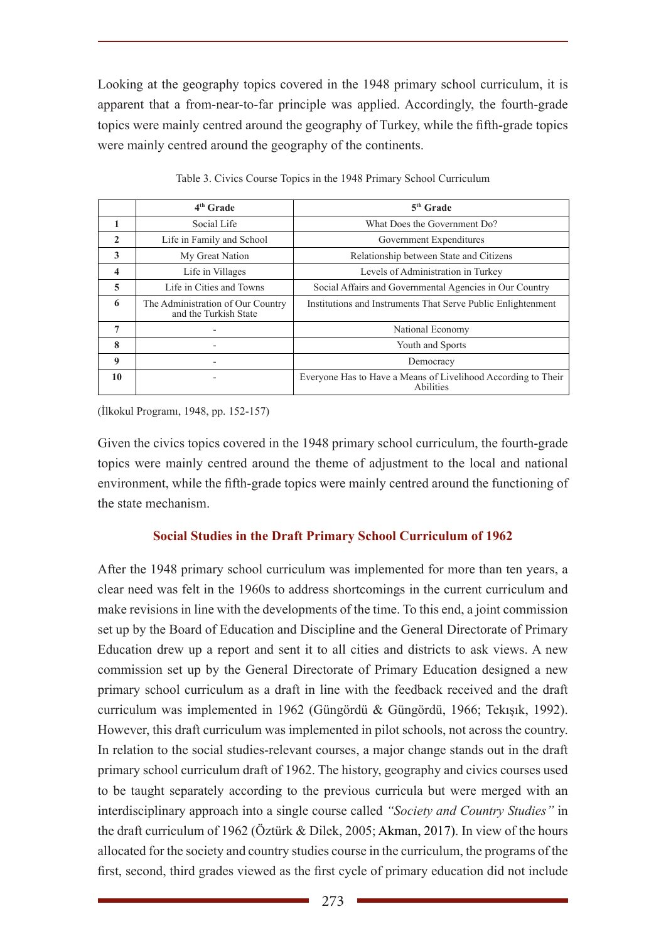Looking at the geography topics covered in the 1948 primary school curriculum, it is apparent that a from-near-to-far principle was applied. Accordingly, the fourth-grade topics were mainly centred around the geography of Turkey, while the fifth-grade topics were mainly centred around the geography of the continents.

|                | $4th$ Grade                                                | $5th$ Grade                                                                |  |  |
|----------------|------------------------------------------------------------|----------------------------------------------------------------------------|--|--|
|                | Social Life                                                | What Does the Government Do?                                               |  |  |
| $\mathfrak{D}$ | Life in Family and School                                  | Government Expenditures                                                    |  |  |
| 3              | Relationship between State and Citizens<br>My Great Nation |                                                                            |  |  |
| 4              | Life in Villages                                           | Levels of Administration in Turkey                                         |  |  |
| 5              | Life in Cities and Towns                                   | Social Affairs and Governmental Agencies in Our Country                    |  |  |
| 6              | The Administration of Our Country<br>and the Turkish State | Institutions and Instruments That Serve Public Enlightenment               |  |  |
| 7              | $\overline{\phantom{0}}$                                   | National Economy                                                           |  |  |
| 8              |                                                            | Youth and Sports                                                           |  |  |
| 9              |                                                            | Democracy                                                                  |  |  |
| 10             |                                                            | Everyone Has to Have a Means of Livelihood According to Their<br>Abilities |  |  |

Table 3. Civics Course Topics in the 1948 Primary School Curriculum

(İlkokul Programı, 1948, pp. 152-157)

Given the civics topics covered in the 1948 primary school curriculum, the fourth-grade topics were mainly centred around the theme of adjustment to the local and national environment, while the fifth-grade topics were mainly centred around the functioning of the state mechanism.

# **Social Studies in the Draft Primary School Curriculum of 1962**

After the 1948 primary school curriculum was implemented for more than ten years, a clear need was felt in the 1960s to address shortcomings in the current curriculum and make revisions in line with the developments of the time. To this end, a joint commission set up by the Board of Education and Discipline and the General Directorate of Primary Education drew up a report and sent it to all cities and districts to ask views. A new commission set up by the General Directorate of Primary Education designed a new primary school curriculum as a draft in line with the feedback received and the draft curriculum was implemented in 1962 (Güngördü & Güngördü, 1966; Tekışık, 1992). However, this draft curriculum was implemented in pilot schools, not across the country. In relation to the social studies-relevant courses, a major change stands out in the draft primary school curriculum draft of 1962. The history, geography and civics courses used to be taught separately according to the previous curricula but were merged with an interdisciplinary approach into a single course called *"Society and Country Studies"* in the draft curriculum of 1962 (Öztürk & Dilek, 2005; Akman, 2017). In view of the hours allocated for the society and country studies course in the curriculum, the programs of the first, second, third grades viewed as the first cycle of primary education did not include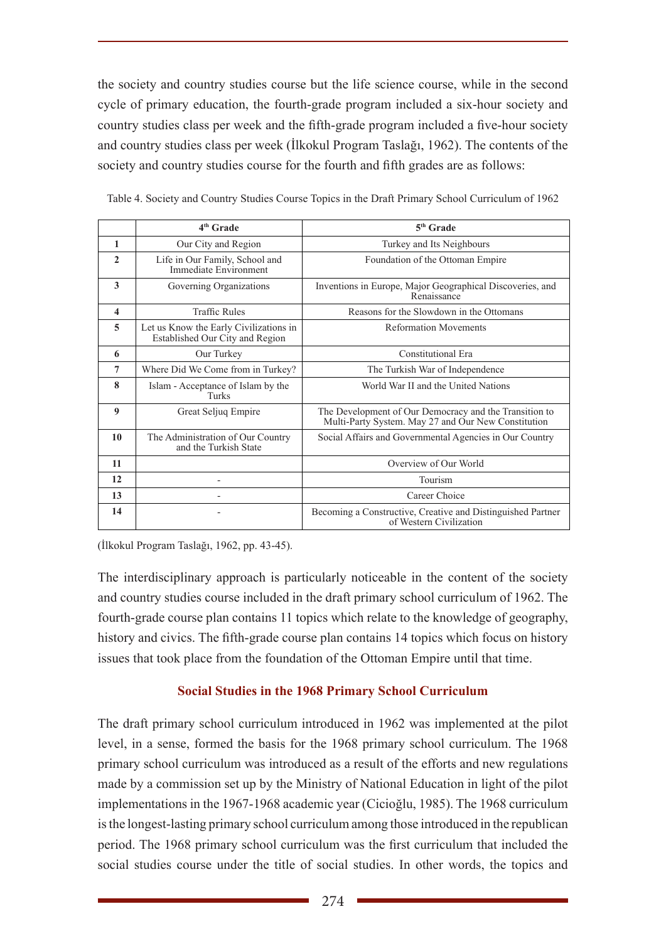the society and country studies course but the life science course, while in the second cycle of primary education, the fourth-grade program included a six-hour society and country studies class per week and the fifth-grade program included a five-hour society and country studies class per week (İlkokul Program Taslağı, 1962). The contents of the society and country studies course for the fourth and fifth grades are as follows:

|                         | 4 <sup>th</sup> Grade                                                     | 5 <sup>th</sup> Grade                                                                                         |  |  |
|-------------------------|---------------------------------------------------------------------------|---------------------------------------------------------------------------------------------------------------|--|--|
| 1                       | Our City and Region                                                       | Turkey and Its Neighbours                                                                                     |  |  |
| $\mathbf{2}$            | Life in Our Family, School and<br>Immediate Environment                   | Foundation of the Ottoman Empire                                                                              |  |  |
| 3                       | Governing Organizations                                                   | Inventions in Europe, Major Geographical Discoveries, and<br>Renaissance                                      |  |  |
| $\overline{\mathbf{4}}$ | <b>Traffic Rules</b>                                                      | Reasons for the Slowdown in the Ottomans                                                                      |  |  |
| 5                       | Let us Know the Early Civilizations in<br>Established Our City and Region | <b>Reformation Movements</b>                                                                                  |  |  |
| 6                       | Our Turkey                                                                | Constitutional Era                                                                                            |  |  |
| $\overline{7}$          | Where Did We Come from in Turkey?                                         | The Turkish War of Independence                                                                               |  |  |
| 8                       | Islam - Acceptance of Islam by the<br>Turks                               | World War II and the United Nations                                                                           |  |  |
| $\boldsymbol{9}$        | Great Seljuq Empire                                                       | The Development of Our Democracy and the Transition to<br>Multi-Party System. May 27 and Our New Constitution |  |  |
| 10                      | The Administration of Our Country<br>and the Turkish State                | Social Affairs and Governmental Agencies in Our Country                                                       |  |  |
| 11                      |                                                                           | Overview of Our World                                                                                         |  |  |
| 12                      | ۰                                                                         | Tourism                                                                                                       |  |  |
| 13                      | ۰                                                                         | Career Choice                                                                                                 |  |  |
| 14                      |                                                                           | Becoming a Constructive, Creative and Distinguished Partner<br>of Western Civilization                        |  |  |

Table 4. Society and Country Studies Course Topics in the Draft Primary School Curriculum of 1962

(İlkokul Program Taslağı, 1962, pp. 43-45).

The interdisciplinary approach is particularly noticeable in the content of the society and country studies course included in the draft primary school curriculum of 1962. The fourth-grade course plan contains 11 topics which relate to the knowledge of geography, history and civics. The fifth-grade course plan contains 14 topics which focus on history issues that took place from the foundation of the Ottoman Empire until that time.

# **Social Studies in the 1968 Primary School Curriculum**

The draft primary school curriculum introduced in 1962 was implemented at the pilot level, in a sense, formed the basis for the 1968 primary school curriculum. The 1968 primary school curriculum was introduced as a result of the efforts and new regulations made by a commission set up by the Ministry of National Education in light of the pilot implementations in the 1967-1968 academic year (Cicioğlu, 1985). The 1968 curriculum is the longest-lasting primary school curriculum among those introduced in the republican period. The 1968 primary school curriculum was the first curriculum that included the social studies course under the title of social studies. In other words, the topics and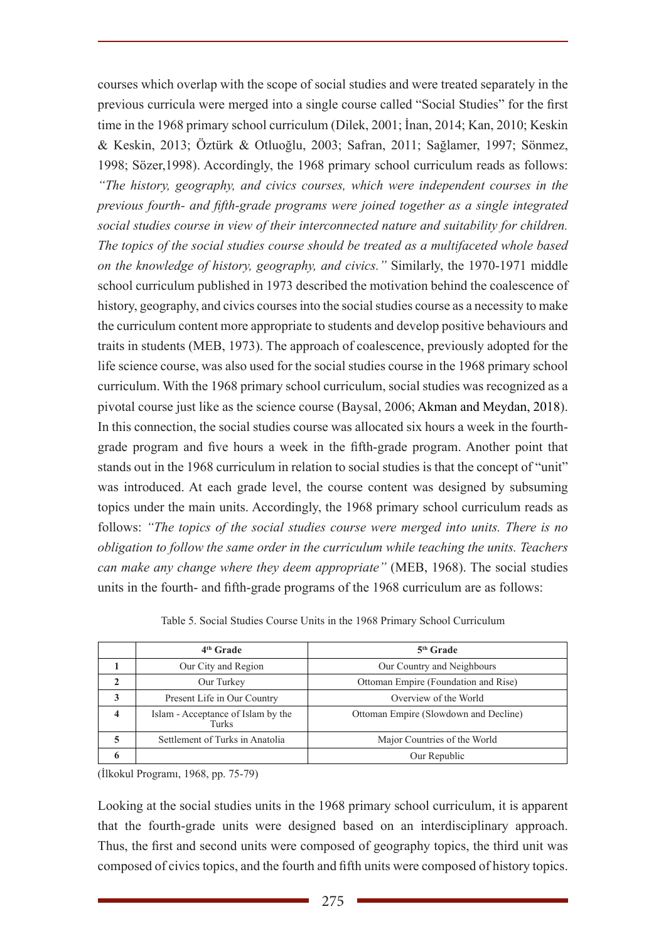courses which overlap with the scope of social studies and were treated separately in the previous curricula were merged into a single course called "Social Studies" for the first time in the 1968 primary school curriculum (Dilek, 2001; İnan, 2014; Kan, 2010; Keskin & Keskin, 2013; Öztürk & Otluoğlu, 2003; Safran, 2011; Sağlamer, 1997; Sönmez, 1998; Sözer,1998). Accordingly, the 1968 primary school curriculum reads as follows: *"The history, geography, and civics courses, which were independent courses in the previous fourth- and fifth-grade programs were joined together as a single integrated social studies course in view of their interconnected nature and suitability for children. The topics of the social studies course should be treated as a multifaceted whole based on the knowledge of history, geography, and civics."* Similarly, the 1970-1971 middle school curriculum published in 1973 described the motivation behind the coalescence of history, geography, and civics courses into the social studies course as a necessity to make the curriculum content more appropriate to students and develop positive behaviours and traits in students (MEB, 1973). The approach of coalescence, previously adopted for the life science course, was also used for the social studies course in the 1968 primary school curriculum. With the 1968 primary school curriculum, social studies was recognized as a pivotal course just like as the science course (Baysal, 2006; Akman and Meydan, 2018). In this connection, the social studies course was allocated six hours a week in the fourthgrade program and five hours a week in the fifth-grade program. Another point that stands out in the 1968 curriculum in relation to social studies is that the concept of "unit" was introduced. At each grade level, the course content was designed by subsuming topics under the main units. Accordingly, the 1968 primary school curriculum reads as follows: *"The topics of the social studies course were merged into units. There is no obligation to follow the same order in the curriculum while teaching the units. Teachers can make any change where they deem appropriate"* (MEB, 1968). The social studies units in the fourth- and fifth-grade programs of the 1968 curriculum are as follows:

|   | $4th$ Grade                                 | $5th$ Grade                           |  |  |
|---|---------------------------------------------|---------------------------------------|--|--|
|   | Our City and Region                         | Our Country and Neighbours            |  |  |
|   | Our Turkey                                  | Ottoman Empire (Foundation and Rise)  |  |  |
|   | Present Life in Our Country                 | Overview of the World                 |  |  |
| 4 | Islam - Acceptance of Islam by the<br>Turks | Ottoman Empire (Slowdown and Decline) |  |  |
|   | Settlement of Turks in Anatolia             | Major Countries of the World          |  |  |
|   |                                             | Our Republic                          |  |  |

Table 5. Social Studies Course Units in the 1968 Primary School Curriculum

(İlkokul Programı, 1968, pp. 75-79)

Looking at the social studies units in the 1968 primary school curriculum, it is apparent that the fourth-grade units were designed based on an interdisciplinary approach. Thus, the first and second units were composed of geography topics, the third unit was composed of civics topics, and the fourth and fifth units were composed of history topics.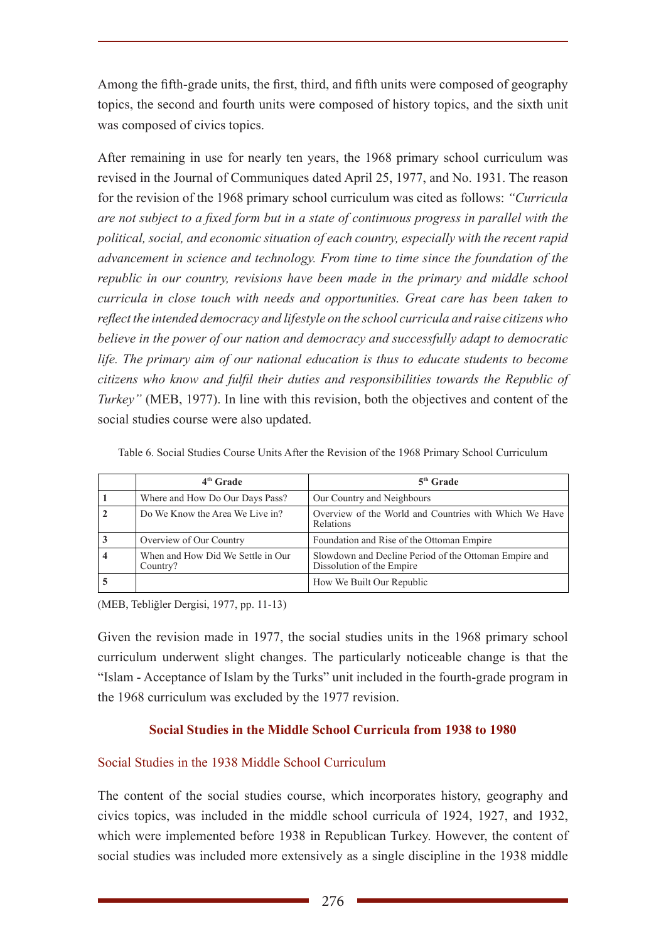Among the fifth-grade units, the first, third, and fifth units were composed of geography topics, the second and fourth units were composed of history topics, and the sixth unit was composed of civics topics.

After remaining in use for nearly ten years, the 1968 primary school curriculum was revised in the Journal of Communiques dated April 25, 1977, and No. 1931. The reason for the revision of the 1968 primary school curriculum was cited as follows: *"Curricula are not subject to a fixed form but in a state of continuous progress in parallel with the political, social, and economic situation of each country, especially with the recent rapid advancement in science and technology. From time to time since the foundation of the republic in our country, revisions have been made in the primary and middle school curricula in close touch with needs and opportunities. Great care has been taken to reflect the intended democracy and lifestyle on the school curricula and raise citizens who believe in the power of our nation and democracy and successfully adapt to democratic life. The primary aim of our national education is thus to educate students to become citizens who know and fulfil their duties and responsibilities towards the Republic of Turkey*" (MEB, 1977). In line with this revision, both the objectives and content of the social studies course were also updated.

| 4 <sup>th</sup> Grade                         | $5th$ Grade                                                                        |
|-----------------------------------------------|------------------------------------------------------------------------------------|
| Where and How Do Our Days Pass?               | Our Country and Neighbours                                                         |
| Do We Know the Area We Live in?               | Overview of the World and Countries with Which We Have<br><b>Relations</b>         |
| Overview of Our Country                       | Foundation and Rise of the Ottoman Empire                                          |
| When and How Did We Settle in Our<br>Country? | Slowdown and Decline Period of the Ottoman Empire and<br>Dissolution of the Empire |
|                                               | How We Built Our Republic                                                          |

Table 6. Social Studies Course Units After the Revision of the 1968 Primary School Curriculum

(MEB, Tebliğler Dergisi, 1977, pp. 11-13)

Given the revision made in 1977, the social studies units in the 1968 primary school curriculum underwent slight changes. The particularly noticeable change is that the "Islam - Acceptance of Islam by the Turks" unit included in the fourth-grade program in the 1968 curriculum was excluded by the 1977 revision.

# **Social Studies in the Middle School Curricula from 1938 to 1980**

# Social Studies in the 1938 Middle School Curriculum

The content of the social studies course, which incorporates history, geography and civics topics, was included in the middle school curricula of 1924, 1927, and 1932, which were implemented before 1938 in Republican Turkey. However, the content of social studies was included more extensively as a single discipline in the 1938 middle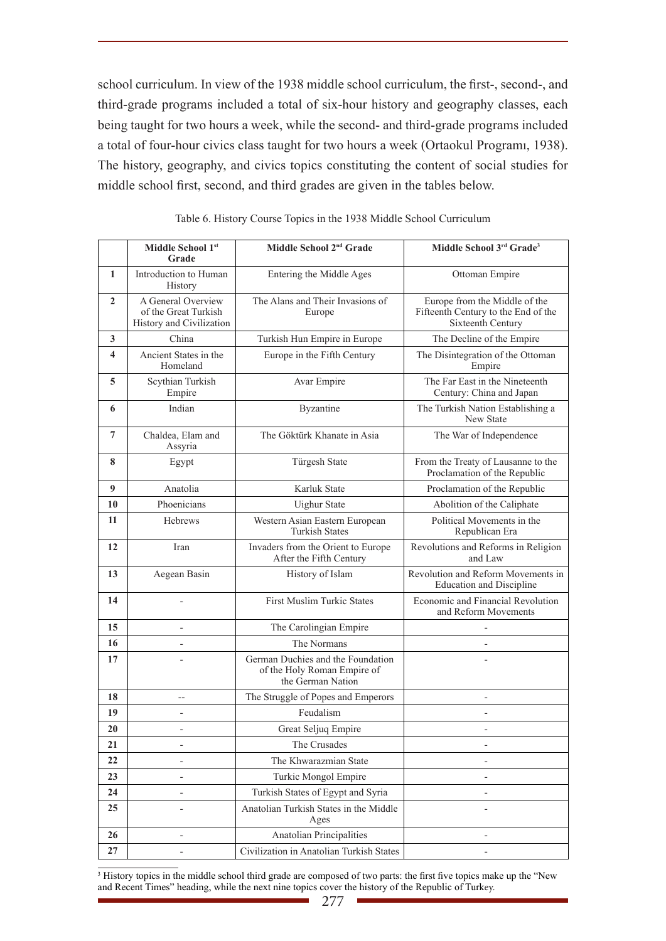school curriculum. In view of the 1938 middle school curriculum, the first-, second-, and third-grade programs included a total of six-hour history and geography classes, each being taught for two hours a week, while the second- and third-grade programs included a total of four-hour civics class taught for two hours a week (Ortaokul Programı, 1938). The history, geography, and civics topics constituting the content of social studies for middle school first, second, and third grades are given in the tables below.

|                         | Middle School 1st                                                      | Middle School 2 <sup>nd</sup> Grade                                                   | Middle School 3rd Grade <sup>3</sup>                                                      |  |  |
|-------------------------|------------------------------------------------------------------------|---------------------------------------------------------------------------------------|-------------------------------------------------------------------------------------------|--|--|
|                         | Grade                                                                  |                                                                                       |                                                                                           |  |  |
| 1                       | Introduction to Human<br>History                                       | Entering the Middle Ages                                                              | Ottoman Empire                                                                            |  |  |
| $\mathbf{2}$            | A General Overview<br>of the Great Turkish<br>History and Civilization | The Alans and Their Invasions of<br>Europe                                            | Europe from the Middle of the<br>Fifteenth Century to the End of the<br>Sixteenth Century |  |  |
| 3                       | China                                                                  | Turkish Hun Empire in Europe                                                          | The Decline of the Empire                                                                 |  |  |
| $\overline{\mathbf{4}}$ | Ancient States in the<br>Homeland                                      | Europe in the Fifth Century                                                           | The Disintegration of the Ottoman<br>Empire                                               |  |  |
| 5                       | Scythian Turkish<br>Empire                                             | Avar Empire                                                                           | The Far East in the Nineteenth<br>Century: China and Japan                                |  |  |
| 6                       | Indian                                                                 | Byzantine                                                                             | The Turkish Nation Establishing a<br>New State                                            |  |  |
| 7                       | Chaldea, Elam and<br>Assyria                                           | The Göktürk Khanate in Asia                                                           | The War of Independence                                                                   |  |  |
| 8                       | Egypt                                                                  | Türgesh State                                                                         | From the Treaty of Lausanne to the<br>Proclamation of the Republic                        |  |  |
| 9                       | Anatolia                                                               | Karluk State                                                                          | Proclamation of the Republic                                                              |  |  |
| 10                      | Phoenicians                                                            | <b>Uighur State</b>                                                                   | Abolition of the Caliphate                                                                |  |  |
| 11                      | Hebrews                                                                | Western Asian Eastern European<br><b>Turkish States</b>                               | Political Movements in the<br>Republican Era                                              |  |  |
| 12                      | Iran                                                                   | Invaders from the Orient to Europe<br>After the Fifth Century                         | Revolutions and Reforms in Religion<br>and Law                                            |  |  |
| 13                      | Aegean Basin                                                           | History of Islam                                                                      | Revolution and Reform Movements in<br><b>Education and Discipline</b>                     |  |  |
| 14                      |                                                                        | <b>First Muslim Turkic States</b>                                                     | Economic and Financial Revolution<br>and Reform Movements                                 |  |  |
| 15                      | $\overline{a}$                                                         | The Carolingian Empire                                                                |                                                                                           |  |  |
| 16                      | $\overline{a}$                                                         | The Normans                                                                           |                                                                                           |  |  |
| 17                      |                                                                        | German Duchies and the Foundation<br>of the Holy Roman Empire of<br>the German Nation |                                                                                           |  |  |
| 18                      | $-\hbox{--}$                                                           | The Struggle of Popes and Emperors                                                    | $\overline{\phantom{a}}$                                                                  |  |  |
| 19                      | $\overline{a}$                                                         | Feudalism                                                                             |                                                                                           |  |  |
| 20                      |                                                                        | Great Seljuq Empire                                                                   |                                                                                           |  |  |
| 21                      |                                                                        | The Crusades                                                                          |                                                                                           |  |  |
| 22                      | L,                                                                     | The Khwarazmian State                                                                 |                                                                                           |  |  |
| 23                      | $\overline{\phantom{0}}$                                               | Turkic Mongol Empire                                                                  | $\overline{\phantom{a}}$                                                                  |  |  |
| 24                      |                                                                        | Turkish States of Egypt and Syria                                                     |                                                                                           |  |  |
| 25                      |                                                                        | Anatolian Turkish States in the Middle<br>Ages                                        |                                                                                           |  |  |
| 26                      | $\overline{a}$                                                         | Anatolian Principalities                                                              |                                                                                           |  |  |
| 27                      |                                                                        | Civilization in Anatolian Turkish States                                              |                                                                                           |  |  |

|  |  | Table 6. History Course Topics in the 1938 Middle School Curriculum |  |
|--|--|---------------------------------------------------------------------|--|
|  |  |                                                                     |  |

<sup>3</sup> History topics in the middle school third grade are composed of two parts: the first five topics make up the "New and Recent Times" heading, while the next nine topics cover the history of the Republic of Turkey.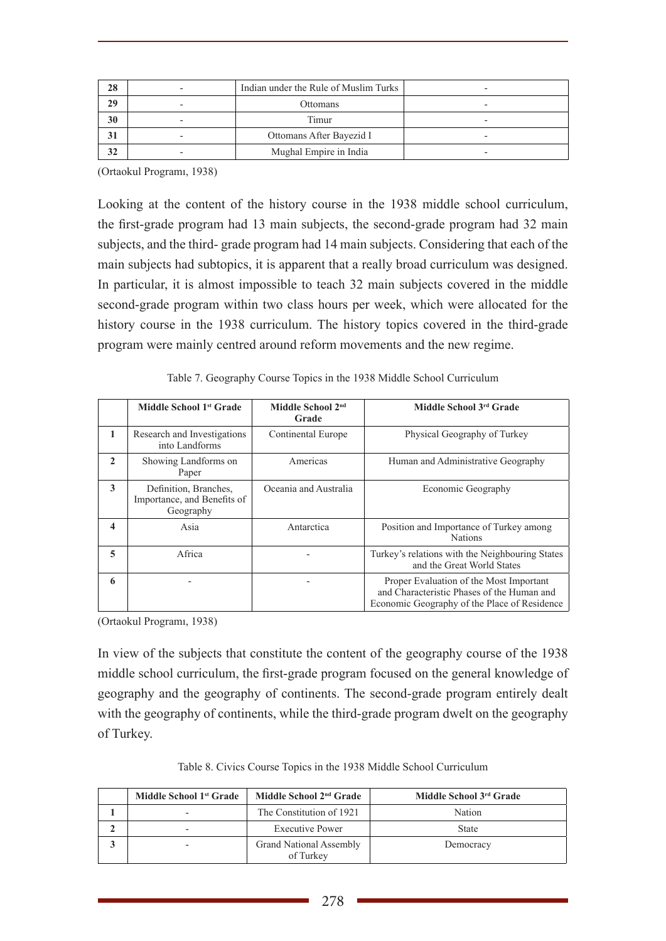| 28 | Indian under the Rule of Muslim Turks |                          |  |
|----|---------------------------------------|--------------------------|--|
| 29 | Ottomans<br>$\overline{\phantom{0}}$  |                          |  |
| 30 | $\overline{\phantom{0}}$              | Timur                    |  |
| 31 | $\overline{\phantom{0}}$              | Ottomans After Bayezid I |  |
| 32 | -                                     | Mughal Empire in India   |  |

(Ortaokul Programı, 1938)

Looking at the content of the history course in the 1938 middle school curriculum, the first-grade program had 13 main subjects, the second-grade program had 32 main subjects, and the third- grade program had 14 main subjects. Considering that each of the main subjects had subtopics, it is apparent that a really broad curriculum was designed. In particular, it is almost impossible to teach 32 main subjects covered in the middle second-grade program within two class hours per week, which were allocated for the history course in the 1938 curriculum. The history topics covered in the third-grade program were mainly centred around reform movements and the new regime.

|                  | Middle School 1 <sup>st</sup> Grade                               | Middle School 2 <sup>nd</sup><br>Grade | Middle School 3rd Grade                                                                                                               |
|------------------|-------------------------------------------------------------------|----------------------------------------|---------------------------------------------------------------------------------------------------------------------------------------|
| 1                | Research and Investigations<br>into Landforms                     | Continental Europe                     | Physical Geography of Turkey                                                                                                          |
| $\mathbf{2}$     | Showing Landforms on<br>Paper                                     | Americas                               | Human and Administrative Geography                                                                                                    |
| 3                | Definition, Branches.<br>Importance, and Benefits of<br>Geography | Oceania and Australia                  | Economic Geography                                                                                                                    |
| $\boldsymbol{4}$ | Asia                                                              | Antarctica                             | Position and Importance of Turkey among<br><b>Nations</b>                                                                             |
| 5                | Africa                                                            |                                        | Turkey's relations with the Neighbouring States<br>and the Great World States                                                         |
| 6                |                                                                   |                                        | Proper Evaluation of the Most Important<br>and Characteristic Phases of the Human and<br>Economic Geography of the Place of Residence |

(Ortaokul Programı, 1938)

In view of the subjects that constitute the content of the geography course of the 1938 middle school curriculum, the first-grade program focused on the general knowledge of geography and the geography of continents. The second-grade program entirely dealt with the geography of continents, while the third-grade program dwelt on the geography of Turkey.

|  |  |  |  |  |  |  |  | Table 8. Civics Course Topics in the 1938 Middle School Curriculum |
|--|--|--|--|--|--|--|--|--------------------------------------------------------------------|
|--|--|--|--|--|--|--|--|--------------------------------------------------------------------|

| Middle School 1 <sup>st</sup> Grade | Middle School 2 <sup>nd</sup> Grade         | Middle School 3rd Grade |
|-------------------------------------|---------------------------------------------|-------------------------|
|                                     | The Constitution of 1921                    | Nation                  |
|                                     | <b>Executive Power</b>                      | <b>State</b>            |
| -                                   | <b>Grand National Assembly</b><br>of Turkey | Democracy               |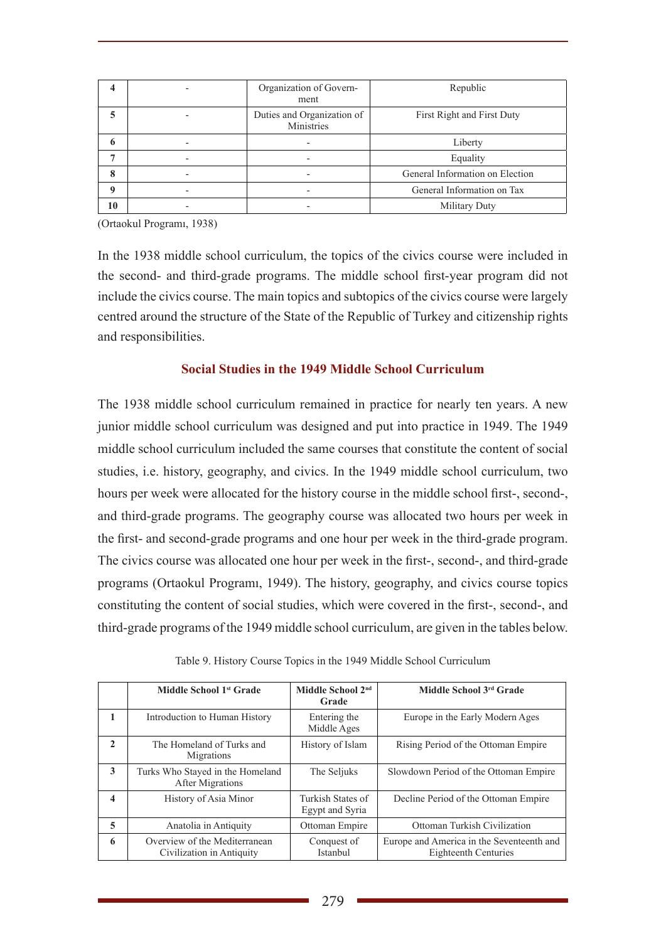|             | $\overline{\phantom{0}}$ | Organization of Govern-<br>ment          | Republic                        |
|-------------|--------------------------|------------------------------------------|---------------------------------|
| 5           |                          | Duties and Organization of<br>Ministries | First Right and First Duty      |
| 6           | $\overline{\phantom{0}}$ |                                          | Liberty                         |
|             |                          |                                          | Equality                        |
| 8           |                          |                                          | General Information on Election |
| $\mathbf o$ |                          |                                          | General Information on Tax      |
| 10          |                          |                                          | Military Duty                   |

(Ortaokul Programı, 1938)

In the 1938 middle school curriculum, the topics of the civics course were included in the second- and third-grade programs. The middle school first-year program did not include the civics course. The main topics and subtopics of the civics course were largely centred around the structure of the State of the Republic of Turkey and citizenship rights and responsibilities.

### **Social Studies in the 1949 Middle School Curriculum**

The 1938 middle school curriculum remained in practice for nearly ten years. A new junior middle school curriculum was designed and put into practice in 1949. The 1949 middle school curriculum included the same courses that constitute the content of social studies, i.e. history, geography, and civics. In the 1949 middle school curriculum, two hours per week were allocated for the history course in the middle school first-, second-, and third-grade programs. The geography course was allocated two hours per week in the first- and second-grade programs and one hour per week in the third-grade program. The civics course was allocated one hour per week in the first-, second-, and third-grade programs (Ortaokul Programı, 1949). The history, geography, and civics course topics constituting the content of social studies, which were covered in the first-, second-, and third-grade programs of the 1949 middle school curriculum, are given in the tables below.

|              | Middle School 1 <sup>st</sup> Grade                         | Middle School 2 <sup>nd</sup><br>Grade | Middle School 3rd Grade                                           |
|--------------|-------------------------------------------------------------|----------------------------------------|-------------------------------------------------------------------|
|              | Introduction to Human History                               | Entering the<br>Middle Ages            | Europe in the Early Modern Ages                                   |
| $\mathbf{2}$ | The Homeland of Turks and<br>Migrations                     | History of Islam                       | Rising Period of the Ottoman Empire                               |
| 3            | Turks Who Stayed in the Homeland<br><b>After Migrations</b> | The Seljuks                            | Slowdown Period of the Ottoman Empire                             |
| 4            | History of Asia Minor                                       | Turkish States of<br>Egypt and Syria   | Decline Period of the Ottoman Empire                              |
| 5            | Anatolia in Antiquity                                       | Ottoman Empire                         | Ottoman Turkish Civilization                                      |
| 6            | Overview of the Mediterranean<br>Civilization in Antiquity  | Conquest of<br>Istanbul                | Europe and America in the Seventeenth and<br>Eighteenth Centuries |

Table 9. History Course Topics in the 1949 Middle School Curriculum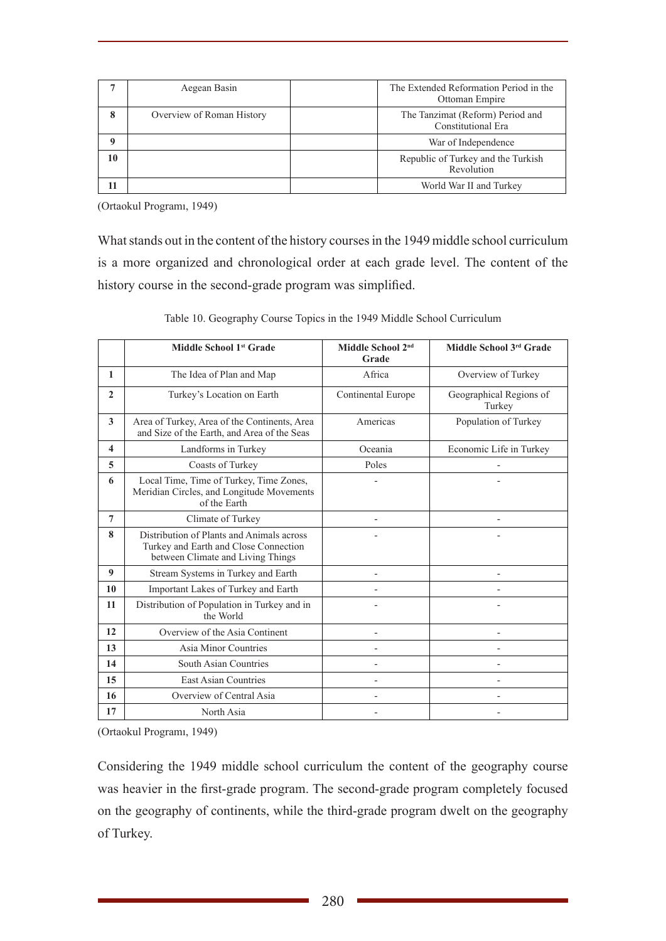|          | Aegean Basin              | The Extended Reformation Period in the<br>Ottoman Empire |
|----------|---------------------------|----------------------------------------------------------|
| 8        | Overview of Roman History | The Tanzimat (Reform) Period and<br>Constitutional Era   |
| $\Omega$ |                           | War of Independence                                      |
| 10       |                           | Republic of Turkey and the Turkish<br>Revolution         |
| 11       |                           | World War II and Turkey                                  |

(Ortaokul Programı, 1949)

What stands out in the content of the history courses in the 1949 middle school curriculum is a more organized and chronological order at each grade level. The content of the history course in the second-grade program was simplified.

|                         | Middle School 1st Grade                                                                                                 | Middle School 2 <sup>nd</sup><br>Grade | Middle School 3rd Grade           |
|-------------------------|-------------------------------------------------------------------------------------------------------------------------|----------------------------------------|-----------------------------------|
| $\mathbf{1}$            | The Idea of Plan and Map                                                                                                | Africa                                 | Overview of Turkey                |
| $\mathbf{2}$            | Turkey's Location on Earth                                                                                              | Continental Europe                     | Geographical Regions of<br>Turkey |
| 3                       | Area of Turkey, Area of the Continents, Area<br>and Size of the Earth, and Area of the Seas                             | Americas                               | Population of Turkey              |
| $\overline{\mathbf{4}}$ | Landforms in Turkey                                                                                                     | Oceania                                | Economic Life in Turkey           |
| 5                       | Coasts of Turkey                                                                                                        | Poles                                  |                                   |
| 6                       | Local Time, Time of Turkey, Time Zones,<br>Meridian Circles, and Longitude Movements<br>of the Earth                    |                                        |                                   |
| 7                       | Climate of Turkey                                                                                                       | $\overline{a}$                         |                                   |
| 8                       | Distribution of Plants and Animals across<br>Turkey and Earth and Close Connection<br>between Climate and Living Things |                                        |                                   |
| 9                       | Stream Systems in Turkey and Earth                                                                                      |                                        |                                   |
| 10                      | Important Lakes of Turkey and Earth                                                                                     |                                        |                                   |
| 11                      | Distribution of Population in Turkey and in<br>the World                                                                |                                        |                                   |
| 12                      | Overview of the Asia Continent                                                                                          |                                        |                                   |
| 13                      | Asia Minor Countries                                                                                                    |                                        |                                   |
| 14                      | South Asian Countries                                                                                                   |                                        |                                   |
| 15                      | <b>East Asian Countries</b>                                                                                             |                                        |                                   |
| 16                      | Overview of Central Asia                                                                                                |                                        |                                   |
| 17                      | North Asia                                                                                                              |                                        |                                   |

Table 10. Geography Course Topics in the 1949 Middle School Curriculum

(Ortaokul Programı, 1949)

Considering the 1949 middle school curriculum the content of the geography course was heavier in the first-grade program. The second-grade program completely focused on the geography of continents, while the third-grade program dwelt on the geography of Turkey.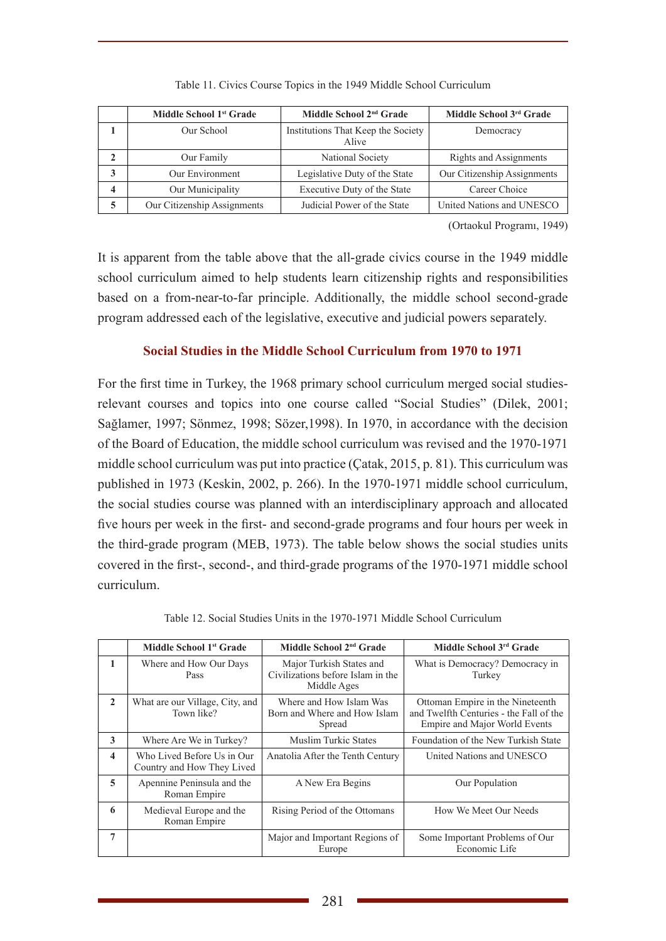|   | Middle School 1 <sup>st</sup> Grade | Middle School 2 <sup>nd</sup> Grade         | Middle School 3rd Grade     |
|---|-------------------------------------|---------------------------------------------|-----------------------------|
|   | Our School                          | Institutions That Keep the Society<br>Alive | Democracy                   |
|   | Our Family                          | National Society                            | Rights and Assignments      |
| 3 | Our Environment                     | Legislative Duty of the State               | Our Citizenship Assignments |
| 4 | Our Municipality                    | Executive Duty of the State                 | Career Choice               |
| 5 | Our Citizenship Assignments         | Judicial Power of the State                 | United Nations and UNESCO   |

(Ortaokul Programı, 1949)

It is apparent from the table above that the all-grade civics course in the 1949 middle school curriculum aimed to help students learn citizenship rights and responsibilities based on a from-near-to-far principle. Additionally, the middle school second-grade program addressed each of the legislative, executive and judicial powers separately.

### **Social Studies in the Middle School Curriculum from 1970 to 1971**

For the first time in Turkey, the 1968 primary school curriculum merged social studiesrelevant courses and topics into one course called "Social Studies" (Dilek, 2001; Sağlamer, 1997; Sönmez, 1998; Sözer,1998). In 1970, in accordance with the decision of the Board of Education, the middle school curriculum was revised and the 1970-1971 middle school curriculum was put into practice (Çatak, 2015, p. 81). This curriculum was published in 1973 (Keskin, 2002, p. 266). In the 1970-1971 middle school curriculum, the social studies course was planned with an interdisciplinary approach and allocated five hours per week in the first- and second-grade programs and four hours per week in the third-grade program (MEB, 1973). The table below shows the social studies units covered in the first-, second-, and third-grade programs of the 1970-1971 middle school curriculum.

|                         | Middle School 1 <sup>st</sup> Grade                      | Middle School 2 <sup>nd</sup> Grade                                          | Middle School 3rd Grade                                                                                      |
|-------------------------|----------------------------------------------------------|------------------------------------------------------------------------------|--------------------------------------------------------------------------------------------------------------|
| 1                       | Where and How Our Days<br>Pass                           | Major Turkish States and<br>Civilizations before Islam in the<br>Middle Ages | What is Democracy? Democracy in<br>Turkey                                                                    |
| $\mathbf{2}$            | What are our Village, City, and<br>Town like?            | Where and How Islam Was<br>Born and Where and How Islam<br>Spread            | Ottoman Empire in the Nineteenth<br>and Twelfth Centuries - the Fall of the<br>Empire and Major World Events |
| 3                       | Where Are We in Turkey?                                  | <b>Muslim Turkic States</b>                                                  | Foundation of the New Turkish State                                                                          |
| $\overline{\mathbf{4}}$ | Who Lived Before Us in Our<br>Country and How They Lived | Anatolia After the Tenth Century                                             | United Nations and UNESCO                                                                                    |
| 5                       | Apennine Peninsula and the<br>Roman Empire               | A New Era Begins                                                             | Our Population                                                                                               |
| 6                       | Medieval Europe and the<br>Roman Empire                  | Rising Period of the Ottomans                                                | How We Meet Our Needs                                                                                        |
| 7                       |                                                          | Major and Important Regions of<br>Europe                                     | Some Important Problems of Our<br>Economic Life                                                              |

Table 12. Social Studies Units in the 1970-1971 Middle School Curriculum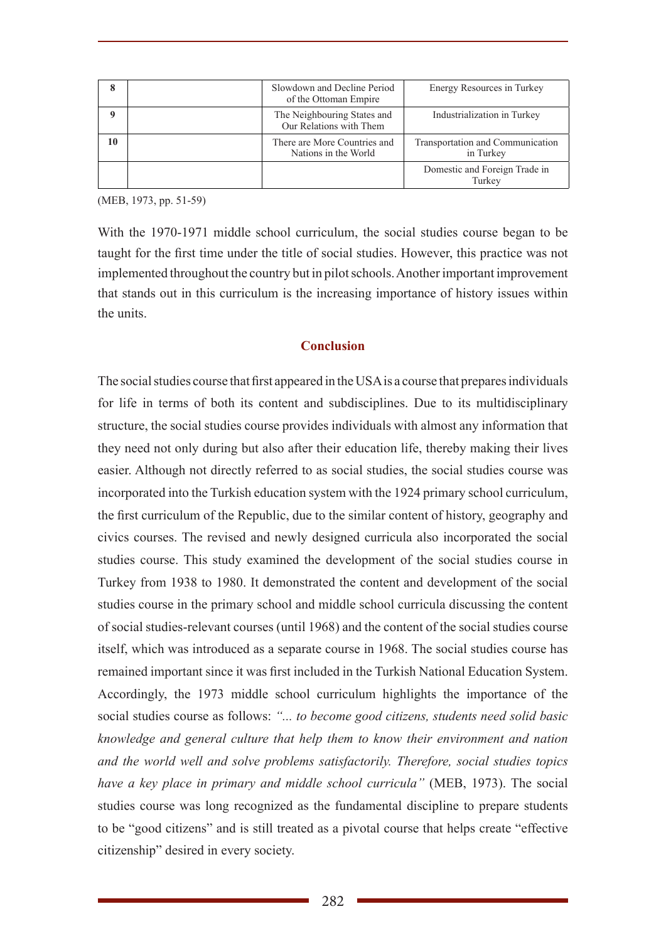| 8  | Slowdown and Decline Period<br>of the Ottoman Empire   | Energy Resources in Turkey                    |
|----|--------------------------------------------------------|-----------------------------------------------|
|    | The Neighbouring States and<br>Our Relations with Them | Industrialization in Turkey                   |
| 10 | There are More Countries and<br>Nations in the World   | Transportation and Communication<br>in Turkey |
|    |                                                        | Domestic and Foreign Trade in<br>Turkey       |

(MEB, 1973, pp. 51-59)

With the 1970-1971 middle school curriculum, the social studies course began to be taught for the first time under the title of social studies. However, this practice was not implemented throughout the country but in pilot schools. Another important improvement that stands out in this curriculum is the increasing importance of history issues within the units.

# **Conclusion**

The social studies course that first appeared in the USA is a course that prepares individuals for life in terms of both its content and subdisciplines. Due to its multidisciplinary structure, the social studies course provides individuals with almost any information that they need not only during but also after their education life, thereby making their lives easier. Although not directly referred to as social studies, the social studies course was incorporated into the Turkish education system with the 1924 primary school curriculum, the first curriculum of the Republic, due to the similar content of history, geography and civics courses. The revised and newly designed curricula also incorporated the social studies course. This study examined the development of the social studies course in Turkey from 1938 to 1980. It demonstrated the content and development of the social studies course in the primary school and middle school curricula discussing the content of social studies-relevant courses (until 1968) and the content of the social studies course itself, which was introduced as a separate course in 1968. The social studies course has remained important since it was first included in the Turkish National Education System. Accordingly, the 1973 middle school curriculum highlights the importance of the social studies course as follows: *"... to become good citizens, students need solid basic knowledge and general culture that help them to know their environment and nation and the world well and solve problems satisfactorily. Therefore, social studies topics have a key place in primary and middle school curricula"* (MEB, 1973). The social studies course was long recognized as the fundamental discipline to prepare students to be "good citizens" and is still treated as a pivotal course that helps create "effective citizenship" desired in every society.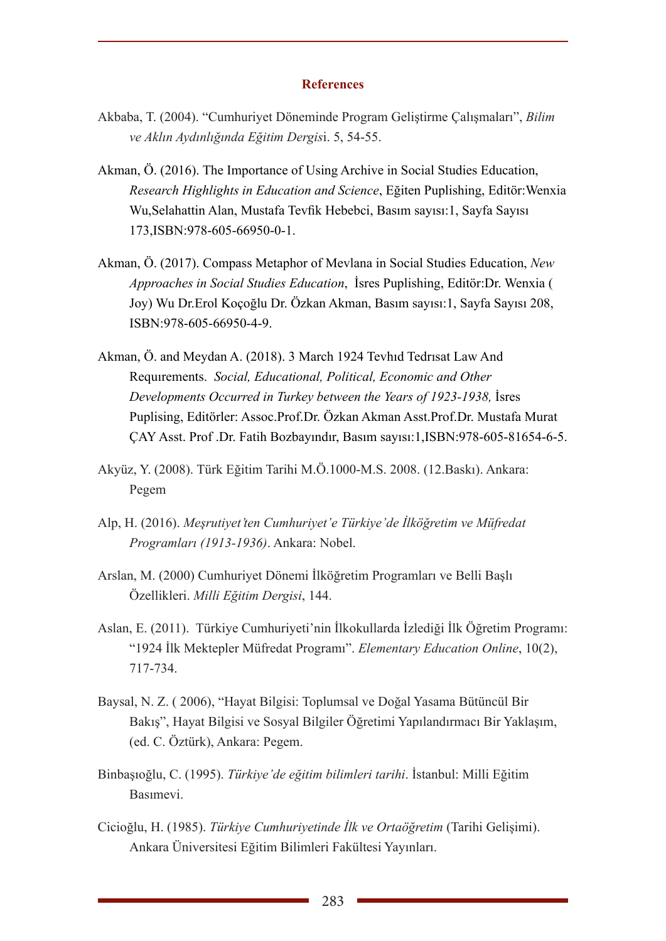#### **References**

- Akbaba, T. (2004). "Cumhuriyet Döneminde Program Geliştirme Çalışmaları", *Bilim ve Aklın Aydınlığında Eğitim Dergis*i. 5, 54-55.
- Akman, Ö. (2016). The Importance of Using Archive in Social Studies Education, *Research Highlights in Education and Science*, Eğiten Puplishing, Editör:Wenxia Wu,Selahattin Alan, Mustafa Tevfik Hebebci, Basım sayısı:1, Sayfa Sayısı 173,ISBN:978-605-66950-0-1.
- Akman, Ö. (2017). Compass Metaphor of Mevlana in Social Studies Education, *New Approaches in Social Studies Education*, İsres Puplishing, Editör:Dr. Wenxia ( Joy) Wu Dr.Erol Koçoğlu Dr. Özkan Akman, Basım sayısı:1, Sayfa Sayısı 208, ISBN:978-605-66950-4-9.
- Akman, Ö. and Meydan A. (2018). 3 March 1924 Tevhıd Tedrısat Law And Requırements. *Social, Educational, Political, Economic and Other Developments Occurred in Turkey between the Years of 1923-1938,* İsres Puplising, Editörler: Assoc.Prof.Dr. Özkan Akman Asst.Prof.Dr. Mustafa Murat ÇAY Asst. Prof .Dr. Fatih Bozbayındır, Basım sayısı:1,ISBN:978-605-81654-6-5.
- Akyüz, Y. (2008). Türk Eğitim Tarihi M.Ö.1000-M.S. 2008. (12.Baskı). Ankara: Pegem
- Alp, H. (2016). *Meşrutiyet'ten Cumhuriyet'e Türkiye'de İlköğretim ve Müfredat Programları (1913-1936)*. Ankara: Nobel.
- Arslan, M. (2000) Cumhuriyet Dönemi İlköğretim Programları ve Belli Başlı Özellikleri. *Milli Eğitim Dergisi*, 144.
- Aslan, E. (2011). Türkiye Cumhuriyeti'nin İlkokullarda İzlediği İlk Öğretim Programı: "1924 İlk Mektepler Müfredat Programı". *Elementary Education Online*, 10(2), 717-734.
- Baysal, N. Z. ( 2006), "Hayat Bilgisi: Toplumsal ve Doğal Yasama Bütüncül Bir Bakış", Hayat Bilgisi ve Sosyal Bilgiler Öğretimi Yapılandırmacı Bir Yaklaşım, (ed. C. Öztürk), Ankara: Pegem.
- Binbaşıoğlu, C. (1995). *Türkiye'de eğitim bilimleri tarihi*. İstanbul: Milli Eğitim Basımevi.
- Cicioğlu, H. (1985). *Türkiye Cumhuriyetinde İlk ve Ortaöğretim* (Tarihi Gelişimi). Ankara Üniversitesi Eğitim Bilimleri Fakültesi Yayınları.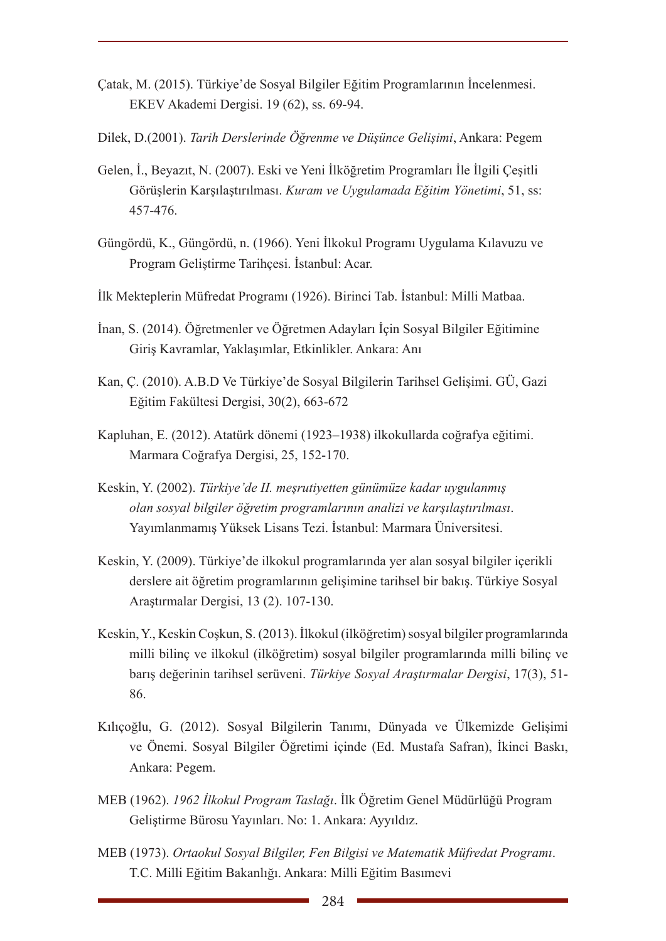- Çatak, M. (2015). Türkiye'de Sosyal Bilgiler Eğitim Programlarının İncelenmesi. EKEV Akademi Dergisi. 19 (62), ss. 69-94.
- Dilek, D.(2001). *Tarih Derslerinde Öğrenme ve Düşünce Gelişimi*, Ankara: Pegem
- Gelen, İ., Beyazıt, N. (2007). Eski ve Yeni İlköğretim Programları İle İlgili Çeşitli Görüşlerin Karşılaştırılması. *Kuram ve Uygulamada Eğitim Yönetimi*, 51, ss: 457-476.
- Güngördü, K., Güngördü, n. (1966). Yeni İlkokul Programı Uygulama Kılavuzu ve Program Geliştirme Tarihçesi. İstanbul: Acar.
- İlk Mekteplerin Müfredat Programı (1926). Birinci Tab. İstanbul: Milli Matbaa.
- İnan, S. (2014). Öğretmenler ve Öğretmen Adayları İçin Sosyal Bilgiler Eğitimine Giriş Kavramlar, Yaklaşımlar, Etkinlikler. Ankara: Anı
- Kan, Ç. (2010). A.B.D Ve Türkiye'de Sosyal Bilgilerin Tarihsel Gelişimi. GÜ, Gazi Eğitim Fakültesi Dergisi, 30(2), 663-672
- Kapluhan, E. (2012). Atatürk dönemi (1923–1938) ilkokullarda coğrafya eğitimi. Marmara Coğrafya Dergisi, 25, 152-170.
- Keskin, Y. (2002). *Türkiye'de II. meşrutiyetten günümüze kadar uygulanmış olan sosyal bilgiler öğretim programlarının analizi ve karşılaştırılması*. Yayımlanmamış Yüksek Lisans Tezi. İstanbul: Marmara Üniversitesi.
- Keskin, Y. (2009). Türkiye'de ilkokul programlarında yer alan sosyal bilgiler içerikli derslere ait öğretim programlarının gelişimine tarihsel bir bakış. Türkiye Sosyal Araştırmalar Dergisi, 13 (2). 107-130.
- Keskin, Y., Keskin Coşkun, S. (2013). İlkokul (ilköğretim) sosyal bilgiler programlarında milli bilinç ve ilkokul (ilköğretim) sosyal bilgiler programlarında milli bilinç ve barış değerinin tarihsel serüveni. *Türkiye Sosyal Araştırmalar Dergisi*, 17(3), 51- 86.
- Kılıçoğlu, G. (2012). Sosyal Bilgilerin Tanımı, Dünyada ve Ülkemizde Gelişimi ve Önemi. Sosyal Bilgiler Öğretimi içinde (Ed. Mustafa Safran), İkinci Baskı, Ankara: Pegem.
- MEB (1962). *1962 İlkokul Program Taslağı*. İlk Öğretim Genel Müdürlüğü Program Geliştirme Bürosu Yayınları. No: 1. Ankara: Ayyıldız.
- MEB (1973). *Ortaokul Sosyal Bilgiler, Fen Bilgisi ve Matematik Müfredat Programı*. T.C. Milli Eğitim Bakanlığı. Ankara: Milli Eğitim Basımevi